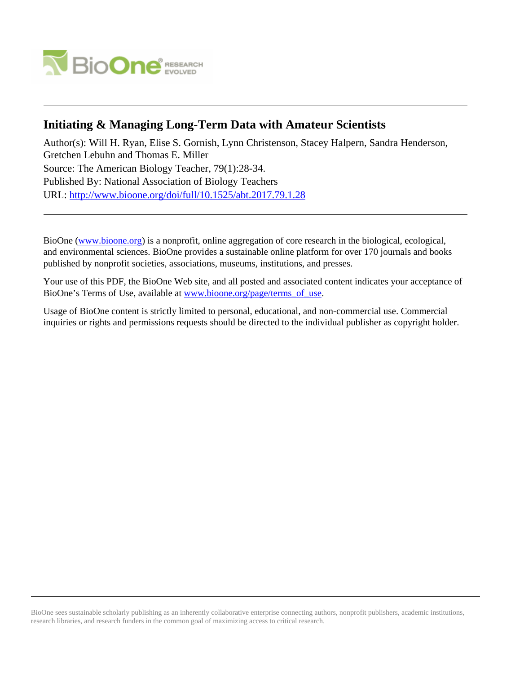

## **Initiating & Managing Long-Term Data with Amateur Scientists**

Author(s): Will H. Ryan, Elise S. Gornish, Lynn Christenson, Stacey Halpern, Sandra Henderson, Gretchen Lebuhn and Thomas E. Miller Source: The American Biology Teacher, 79(1):28-34. Published By: National Association of Biology Teachers URL: <http://www.bioone.org/doi/full/10.1525/abt.2017.79.1.28>

BioOne [\(www.bioone.org\)](http://www.bioone.org) is a nonprofit, online aggregation of core research in the biological, ecological, and environmental sciences. BioOne provides a sustainable online platform for over 170 journals and books published by nonprofit societies, associations, museums, institutions, and presses.

Your use of this PDF, the BioOne Web site, and all posted and associated content indicates your acceptance of BioOne's Terms of Use, available at [www.bioone.org/page/terms\\_of\\_use.](http://www.bioone.org/page/terms_of_use)

Usage of BioOne content is strictly limited to personal, educational, and non-commercial use. Commercial inquiries or rights and permissions requests should be directed to the individual publisher as copyright holder.

BioOne sees sustainable scholarly publishing as an inherently collaborative enterprise connecting authors, nonprofit publishers, academic institutions, research libraries, and research funders in the common goal of maximizing access to critical research.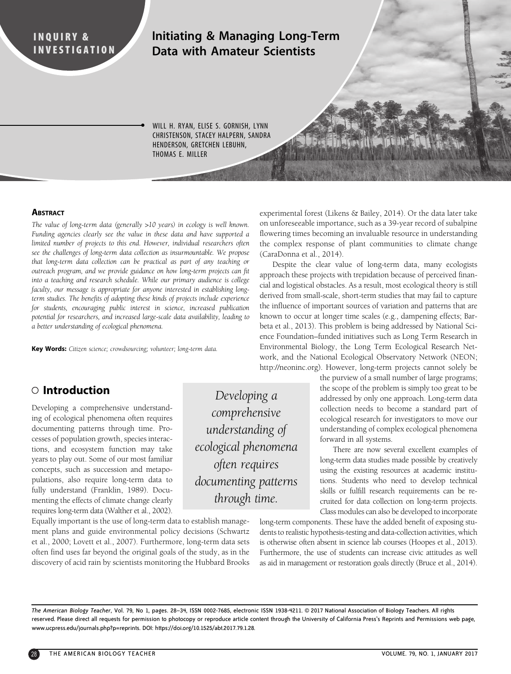## INQUIRY & **INVESTIGATION**

Initiating & Managing Long-Term Data with Amateur Scientists

• WILL H. RYAN, ELISE S. GORNISH, LYNN CHRISTENSON, STACEY HALPERN, SANDRA HENDERSON, GRETCHEN LEBUHN, THOMAS E. MILLER

#### **ABSTRACT**

The value of long-term data (generally >10 years) in ecology is well known. Funding agencies clearly see the value in these data and have supported a limited number of projects to this end. However, individual researchers often see the challenges of long-term data collection as insurmountable. We propose that long-term data collection can be practical as part of any teaching or outreach program, and we provide guidance on how long-term projects can fit into a teaching and research schedule. While our primary audience is college faculty, our message is appropriate for anyone interested in establishing longterm studies. The benefits of adopting these kinds of projects include experience for students, encouraging public interest in science, increased publication potential for researchers, and increased large-scale data availability, leading to a better understanding of ecological phenomena.

Key Words: Citizen science; crowdsourcing; volunteer; long-term data.

## $\circ$  Introduction

Developing a comprehensive understanding of ecological phenomena often requires documenting patterns through time. Processes of population growth, species interactions, and ecosystem function may take years to play out. Some of our most familiar concepts, such as succession and metapopulations, also require long-term data to fully understand (Franklin, 1989). Documenting the effects of climate change clearly requires long-term data (Walther et al., 2002).

Equally important is the use of long-term data to establish management plans and guide environmental policy decisions (Schwartz et al., 2000; Lovett et al., 2007). Furthermore, long-term data sets often find uses far beyond the original goals of the study, as in the discovery of acid rain by scientists monitoring the Hubbard Brooks

Developing a comprehensive understanding of ecological phenomena often requires documenting patterns through time.

experimental forest (Likens & Bailey, 2014). Or the data later take on unforeseeable importance, such as a 39-year record of subalpine flowering times becoming an invaluable resource in understanding the complex response of plant communities to climate change (CaraDonna et al., 2014).

Despite the clear value of long-term data, many ecologists approach these projects with trepidation because of perceived financial and logistical obstacles. As a result, most ecological theory is still derived from small-scale, short-term studies that may fail to capture the influence of important sources of variation and patterns that are known to occur at longer time scales (e.g., dampening effects; Barbeta et al., 2013). This problem is being addressed by National Science Foundation–funded initiatives such as Long Term Research in Environmental Biology, the Long Term Ecological Research Network, and the National Ecological Observatory Network (NEON; http://neoninc.org). However, long-term projects cannot solely be

> the purview of a small number of large programs; the scope of the problem is simply too great to be addressed by only one approach. Long-term data collection needs to become a standard part of ecological research for investigators to move our understanding of complex ecological phenomena forward in all systems.

> There are now several excellent examples of long-term data studies made possible by creatively using the existing resources at academic institutions. Students who need to develop technical skills or fulfill research requirements can be recruited for data collection on long-term projects. Class modules can also be developed to incorporate

long-term components. These have the added benefit of exposing students to realistic hypothesis-testing and data-collection activities, which is otherwise often absent in science lab courses (Hoopes et al., 2013). Furthermore, the use of students can increase civic attitudes as well as aid in management or restoration goals directly (Bruce et al., 2014).



The American Biology Teacher, Vol. 79, No 1, pages. 28–34, ISSN 0002-7685, electronic ISSN 1938-4211. © 2017 National Association of Biology Teachers. All rights reserved. Please direct all requests for permission to photocopy or reproduce article content through the University of California Press's Reprints and Permissions web page, www.ucpress.edu/journals.php?p=reprints. DOI: https://doi.org/10.1525/abt.2017.79.1.28.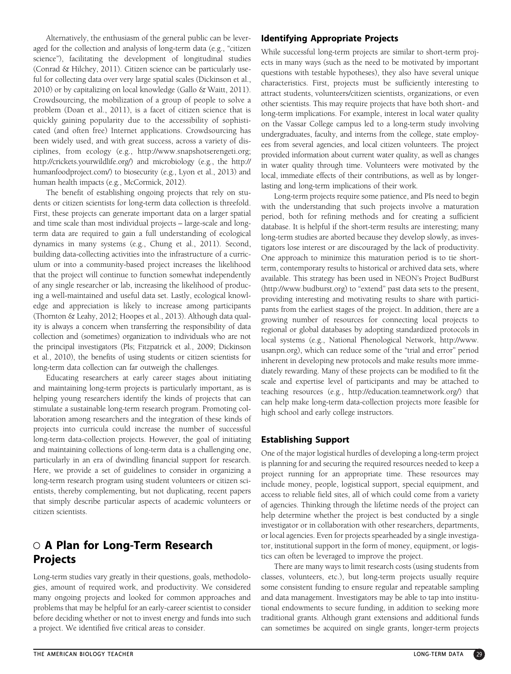Alternatively, the enthusiasm of the general public can be leveraged for the collection and analysis of long-term data (e.g., "citizen science"), facilitating the development of longitudinal studies (Conrad & Hilchey, 2011). Citizen science can be particularly useful for collecting data over very large spatial scales (Dickinson et al., 2010) or by capitalizing on local knowledge (Gallo & Waitt, 2011). Crowdsourcing, the mobilization of a group of people to solve a problem (Doan et al., 2011), is a facet of citizen science that is quickly gaining popularity due to the accessibility of sophisticated (and often free) Internet applications. Crowdsourcing has been widely used, and with great success, across a variety of disciplines, from ecology (e.g., http://www.snapshotserengeti.org; http://crickets.yourwildlife.org/) and microbiology (e.g., the http:// humanfoodproject.com/) to biosecurity (e.g., Lyon et al., 2013) and human health impacts (e.g., McCormick, 2012).

The benefit of establishing ongoing projects that rely on students or citizen scientists for long-term data collection is threefold. First, these projects can generate important data on a larger spatial and time scale than most individual projects – large-scale and longterm data are required to gain a full understanding of ecological dynamics in many systems (e.g., Chung et al., 2011). Second, building data-collecting activities into the infrastructure of a curriculum or into a community-based project increases the likelihood that the project will continue to function somewhat independently of any single researcher or lab, increasing the likelihood of producing a well-maintained and useful data set. Lastly, ecological knowledge and appreciation is likely to increase among participants (Thornton & Leahy, 2012; Hoopes et al., 2013). Although data quality is always a concern when transferring the responsibility of data collection and (sometimes) organization to individuals who are not the principal investigators (PIs; Fitzpatrick et al., 2009; Dickinson et al., 2010), the benefits of using students or citizen scientists for long-term data collection can far outweigh the challenges.

Educating researchers at early career stages about initiating and maintaining long-term projects is particularly important, as is helping young researchers identify the kinds of projects that can stimulate a sustainable long-term research program. Promoting collaboration among researchers and the integration of these kinds of projects into curricula could increase the number of successful long-term data-collection projects. However, the goal of initiating and maintaining collections of long-term data is a challenging one, particularly in an era of dwindling financial support for research. Here, we provide a set of guidelines to consider in organizing a long-term research program using student volunteers or citizen scientists, thereby complementing, but not duplicating, recent papers that simply describe particular aspects of academic volunteers or citizen scientists.

## O A Plan for Long-Term Research Projects

Long-term studies vary greatly in their questions, goals, methodologies, amount of required work, and productivity. We considered many ongoing projects and looked for common approaches and problems that may be helpful for an early-career scientist to consider before deciding whether or not to invest energy and funds into such a project. We identified five critical areas to consider.

### Identifying Appropriate Projects

While successful long-term projects are similar to short-term projects in many ways (such as the need to be motivated by important questions with testable hypotheses), they also have several unique characteristics. First, projects must be sufficiently interesting to attract students, volunteers/citizen scientists, organizations, or even other scientists. This may require projects that have both short- and long-term implications. For example, interest in local water quality on the Vassar College campus led to a long-term study involving undergraduates, faculty, and interns from the college, state employees from several agencies, and local citizen volunteers. The project provided information about current water quality, as well as changes in water quality through time. Volunteers were motivated by the local, immediate effects of their contributions, as well as by longerlasting and long-term implications of their work.

Long-term projects require some patience, and PIs need to begin with the understanding that such projects involve a maturation period, both for refining methods and for creating a sufficient database. It is helpful if the short-term results are interesting; many long-term studies are aborted because they develop slowly, as investigators lose interest or are discouraged by the lack of productivity. One approach to minimize this maturation period is to tie shortterm, contemporary results to historical or archived data sets, where available. This strategy has been used in NEON's Project BudBurst (http://www.budburst.org) to "extend" past data sets to the present, providing interesting and motivating results to share with participants from the earliest stages of the project. In addition, there are a growing number of resources for connecting local projects to regional or global databases by adopting standardized protocols in local systems (e.g., National Phenological Network, http://www. usanpn.org), which can reduce some of the "trial and error" period inherent in developing new protocols and make results more immediately rewarding. Many of these projects can be modified to fit the scale and expertise level of participants and may be attached to teaching resources (e.g., http://education.teamnetwork.org/) that can help make long-term data-collection projects more feasible for high school and early college instructors.

#### Establishing Support

One of the major logistical hurdles of developing a long-term project is planning for and securing the required resources needed to keep a project running for an appropriate time. These resources may include money, people, logistical support, special equipment, and access to reliable field sites, all of which could come from a variety of agencies. Thinking through the lifetime needs of the project can help determine whether the project is best conducted by a single investigator or in collaboration with other researchers, departments, or local agencies. Even for projects spearheaded by a single investigator, institutional support in the form of money, equipment, or logistics can often be leveraged to improve the project.

There are many ways to limit research costs (using students from classes, volunteers, etc.), but long-term projects usually require some consistent funding to ensure regular and repeatable sampling and data management. Investigators may be able to tap into institutional endowments to secure funding, in addition to seeking more traditional grants. Although grant extensions and additional funds can sometimes be acquired on single grants, longer-term projects

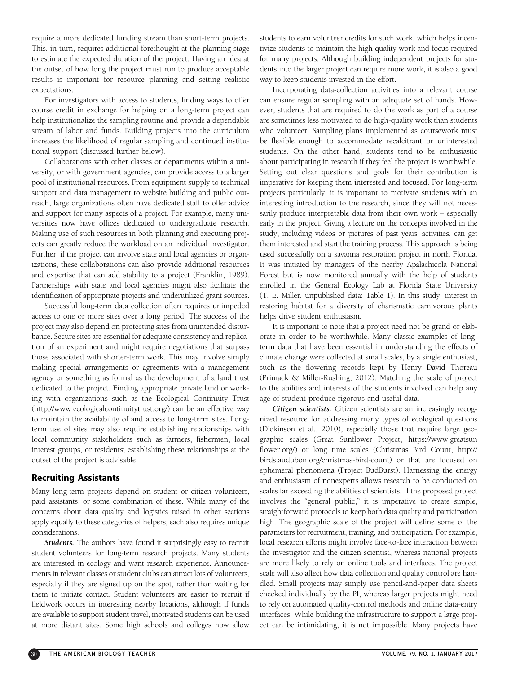require a more dedicated funding stream than short-term projects. This, in turn, requires additional forethought at the planning stage to estimate the expected duration of the project. Having an idea at the outset of how long the project must run to produce acceptable results is important for resource planning and setting realistic expectations.

For investigators with access to students, finding ways to offer course credit in exchange for helping on a long-term project can help institutionalize the sampling routine and provide a dependable stream of labor and funds. Building projects into the curriculum increases the likelihood of regular sampling and continued institutional support (discussed further below).

Collaborations with other classes or departments within a university, or with government agencies, can provide access to a larger pool of institutional resources. From equipment supply to technical support and data management to website building and public outreach, large organizations often have dedicated staff to offer advice and support for many aspects of a project. For example, many universities now have offices dedicated to undergraduate research. Making use of such resources in both planning and executing projects can greatly reduce the workload on an individual investigator. Further, if the project can involve state and local agencies or organizations, these collaborations can also provide additional resources and expertise that can add stability to a project (Franklin, 1989). Partnerships with state and local agencies might also facilitate the identification of appropriate projects and underutilized grant sources.

Successful long-term data collection often requires unimpeded access to one or more sites over a long period. The success of the project may also depend on protecting sites from unintended disturbance. Secure sites are essential for adequate consistency and replication of an experiment and might require negotiations that surpass those associated with shorter-term work. This may involve simply making special arrangements or agreements with a management agency or something as formal as the development of a land trust dedicated to the project. Finding appropriate private land or working with organizations such as the Ecological Continuity Trust (http://www.ecologicalcontinuitytrust.org/) can be an effective way to maintain the availability of and access to long-term sites. Longterm use of sites may also require establishing relationships with local community stakeholders such as farmers, fishermen, local interest groups, or residents; establishing these relationships at the outset of the project is advisable.

#### Recruiting Assistants

Many long-term projects depend on student or citizen volunteers, paid assistants, or some combination of these. While many of the concerns about data quality and logistics raised in other sections apply equally to these categories of helpers, each also requires unique considerations.

**Students.** The authors have found it surprisingly easy to recruit student volunteers for long-term research projects. Many students are interested in ecology and want research experience. Announcements in relevant classes or student clubs can attract lots of volunteers, especially if they are signed up on the spot, rather than waiting for them to initiate contact. Student volunteers are easier to recruit if fieldwork occurs in interesting nearby locations, although if funds are available to support student travel, motivated students can be used at more distant sites. Some high schools and colleges now allow students to earn volunteer credits for such work, which helps incentivize students to maintain the high-quality work and focus required for many projects. Although building independent projects for students into the larger project can require more work, it is also a good way to keep students invested in the effort.

Incorporating data-collection activities into a relevant course can ensure regular sampling with an adequate set of hands. However, students that are required to do the work as part of a course are sometimes less motivated to do high-quality work than students who volunteer. Sampling plans implemented as coursework must be flexible enough to accommodate recalcitrant or uninterested students. On the other hand, students tend to be enthusiastic about participating in research if they feel the project is worthwhile. Setting out clear questions and goals for their contribution is imperative for keeping them interested and focused. For long-term projects particularly, it is important to motivate students with an interesting introduction to the research, since they will not necessarily produce interpretable data from their own work – especially early in the project. Giving a lecture on the concepts involved in the study, including videos or pictures of past years' activities, can get them interested and start the training process. This approach is being used successfully on a savanna restoration project in north Florida. It was initiated by managers of the nearby Apalachicola National Forest but is now monitored annually with the help of students enrolled in the General Ecology Lab at Florida State University (T. E. Miller, unpublished data; Table 1). In this study, interest in restoring habitat for a diversity of charismatic carnivorous plants helps drive student enthusiasm.

It is important to note that a project need not be grand or elaborate in order to be worthwhile. Many classic examples of longterm data that have been essential in understanding the effects of climate change were collected at small scales, by a single enthusiast, such as the flowering records kept by Henry David Thoreau (Primack & Miller-Rushing, 2012). Matching the scale of project to the abilities and interests of the students involved can help any age of student produce rigorous and useful data.

Citizen scientists. Citizen scientists are an increasingly recognized resource for addressing many types of ecological questions (Dickinson et al., 2010), especially those that require large geographic scales (Great Sunflower Project, https://www.greatsun flower.org/) or long time scales (Christmas Bird Count, http:// birds.audubon.org/christmas-bird-count) or that are focused on ephemeral phenomena (Project BudBurst). Harnessing the energy and enthusiasm of nonexperts allows research to be conducted on scales far exceeding the abilities of scientists. If the proposed project involves the "general public," it is imperative to create simple, straightforward protocols to keep both data quality and participation high. The geographic scale of the project will define some of the parameters for recruitment, training, and participation. For example, local research efforts might involve face-to-face interaction between the investigator and the citizen scientist, whereas national projects are more likely to rely on online tools and interfaces. The project scale will also affect how data collection and quality control are handled. Small projects may simply use pencil-and-paper data sheets checked individually by the PI, whereas larger projects might need to rely on automated quality-control methods and online data-entry interfaces. While building the infrastructure to support a large project can be intimidating, it is not impossible. Many projects have

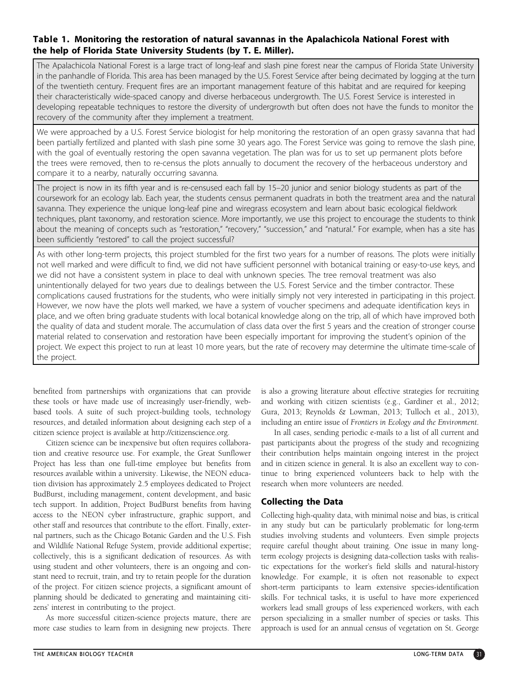### Table 1. Monitoring the restoration of natural savannas in the Apalachicola National Forest with the help of Florida State University Students (by T. E. Miller).

The Apalachicola National Forest is a large tract of long-leaf and slash pine forest near the campus of Florida State University in the panhandle of Florida. This area has been managed by the U.S. Forest Service after being decimated by logging at the turn of the twentieth century. Frequent fires are an important management feature of this habitat and are required for keeping their characteristically wide-spaced canopy and diverse herbaceous undergrowth. The U.S. Forest Service is interested in developing repeatable techniques to restore the diversity of undergrowth but often does not have the funds to monitor the recovery of the community after they implement a treatment.

We were approached by a U.S. Forest Service biologist for help monitoring the restoration of an open grassy savanna that had been partially fertilized and planted with slash pine some 30 years ago. The Forest Service was going to remove the slash pine, with the goal of eventually restoring the open savanna vegetation. The plan was for us to set up permanent plots before the trees were removed, then to re-census the plots annually to document the recovery of the herbaceous understory and compare it to a nearby, naturally occurring savanna.

The project is now in its fifth year and is re-censused each fall by 15–20 junior and senior biology students as part of the coursework for an ecology lab. Each year, the students census permanent quadrats in both the treatment area and the natural savanna. They experience the unique long-leaf pine and wiregrass ecosystem and learn about basic ecological fieldwork techniques, plant taxonomy, and restoration science. More importantly, we use this project to encourage the students to think about the meaning of concepts such as "restoration," "recovery," "succession," and "natural." For example, when has a site has been sufficiently "restored" to call the project successful?

As with other long-term projects, this project stumbled for the first two years for a number of reasons. The plots were initially not well marked and were difficult to find, we did not have sufficient personnel with botanical training or easy-to-use keys, and we did not have a consistent system in place to deal with unknown species. The tree removal treatment was also unintentionally delayed for two years due to dealings between the U.S. Forest Service and the timber contractor. These complications caused frustrations for the students, who were initially simply not very interested in participating in this project. However, we now have the plots well marked, we have a system of voucher specimens and adequate identification keys in place, and we often bring graduate students with local botanical knowledge along on the trip, all of which have improved both the quality of data and student morale. The accumulation of class data over the first 5 years and the creation of stronger course material related to conservation and restoration have been especially important for improving the student's opinion of the project. We expect this project to run at least 10 more years, but the rate of recovery may determine the ultimate time-scale of the project.

benefited from partnerships with organizations that can provide these tools or have made use of increasingly user-friendly, webbased tools. A suite of such project-building tools, technology resources, and detailed information about designing each step of a citizen science project is available at http://citizenscience.org.

Citizen science can be inexpensive but often requires collaboration and creative resource use. For example, the Great Sunflower Project has less than one full-time employee but benefits from resources available within a university. Likewise, the NEON education division has approximately 2.5 employees dedicated to Project BudBurst, including management, content development, and basic tech support. In addition, Project BudBurst benefits from having access to the NEON cyber infrastructure, graphic support, and other staff and resources that contribute to the effort. Finally, external partners, such as the Chicago Botanic Garden and the U.S. Fish and Wildlife National Refuge System, provide additional expertise; collectively, this is a significant dedication of resources. As with using student and other volunteers, there is an ongoing and constant need to recruit, train, and try to retain people for the duration of the project. For citizen science projects, a significant amount of planning should be dedicated to generating and maintaining citizens' interest in contributing to the project.

As more successful citizen-science projects mature, there are more case studies to learn from in designing new projects. There is also a growing literature about effective strategies for recruiting and working with citizen scientists (e.g., Gardiner et al., 2012; Gura, 2013; Reynolds & Lowman, 2013; Tulloch et al., 2013), including an entire issue of Frontiers in Ecology and the Environment.

In all cases, sending periodic e-mails to a list of all current and past participants about the progress of the study and recognizing their contribution helps maintain ongoing interest in the project and in citizen science in general. It is also an excellent way to continue to bring experienced volunteers back to help with the research when more volunteers are needed.

#### Collecting the Data

Collecting high-quality data, with minimal noise and bias, is critical in any study but can be particularly problematic for long-term studies involving students and volunteers. Even simple projects require careful thought about training. One issue in many longterm ecology projects is designing data-collection tasks with realistic expectations for the worker's field skills and natural-history knowledge. For example, it is often not reasonable to expect short-term participants to learn extensive species-identification skills. For technical tasks, it is useful to have more experienced workers lead small groups of less experienced workers, with each person specializing in a smaller number of species or tasks. This approach is used for an annual census of vegetation on St. George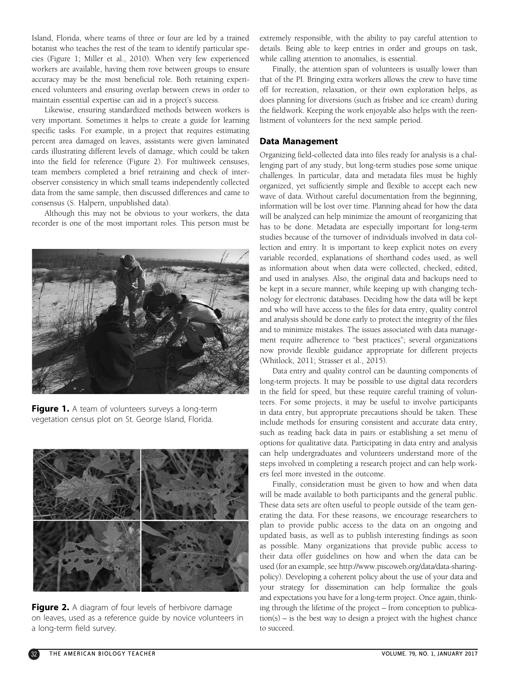Island, Florida, where teams of three or four are led by a trained botanist who teaches the rest of the team to identify particular species (Figure 1; Miller et al., 2010). When very few experienced workers are available, having them rove between groups to ensure accuracy may be the most beneficial role. Both retaining experienced volunteers and ensuring overlap between crews in order to maintain essential expertise can aid in a project's success.

Likewise, ensuring standardized methods between workers is very important. Sometimes it helps to create a guide for learning specific tasks. For example, in a project that requires estimating percent area damaged on leaves, assistants were given laminated cards illustrating different levels of damage, which could be taken into the field for reference (Figure 2). For multiweek censuses, team members completed a brief retraining and check of interobserver consistency in which small teams independently collected data from the same sample, then discussed differences and came to consensus (S. Halpern, unpublished data).

Although this may not be obvious to your workers, the data recorder is one of the most important roles. This person must be



Figure 1. A team of volunteers surveys a long-term vegetation census plot on St. George Island, Florida.



Figure 2. A diagram of four levels of herbivore damage on leaves, used as a reference guide by novice volunteers in a long-term field survey.

extremely responsible, with the ability to pay careful attention to details. Being able to keep entries in order and groups on task, while calling attention to anomalies, is essential.

Finally, the attention span of volunteers is usually lower than that of the PI. Bringing extra workers allows the crew to have time off for recreation, relaxation, or their own exploration helps, as does planning for diversions (such as frisbee and ice cream) during the fieldwork. Keeping the work enjoyable also helps with the reenlistment of volunteers for the next sample period.

#### Data Management

Organizing field-collected data into files ready for analysis is a challenging part of any study, but long-term studies pose some unique challenges. In particular, data and metadata files must be highly organized, yet sufficiently simple and flexible to accept each new wave of data. Without careful documentation from the beginning, information will be lost over time. Planning ahead for how the data will be analyzed can help minimize the amount of reorganizing that has to be done. Metadata are especially important for long-term studies because of the turnover of individuals involved in data collection and entry. It is important to keep explicit notes on every variable recorded, explanations of shorthand codes used, as well as information about when data were collected, checked, edited, and used in analyses. Also, the original data and backups need to be kept in a secure manner, while keeping up with changing technology for electronic databases. Deciding how the data will be kept and who will have access to the files for data entry, quality control and analysis should be done early to protect the integrity of the files and to minimize mistakes. The issues associated with data management require adherence to "best practices"; several organizations now provide flexible guidance appropriate for different projects (Whitlock, 2011; Strasser et al., 2015).

Data entry and quality control can be daunting components of long-term projects. It may be possible to use digital data recorders in the field for speed, but these require careful training of volunteers. For some projects, it may be useful to involve participants in data entry, but appropriate precautions should be taken. These include methods for ensuring consistent and accurate data entry, such as reading back data in pairs or establishing a set menu of options for qualitative data. Participating in data entry and analysis can help undergraduates and volunteers understand more of the steps involved in completing a research project and can help workers feel more invested in the outcome.

Finally, consideration must be given to how and when data will be made available to both participants and the general public. These data sets are often useful to people outside of the team generating the data. For these reasons, we encourage researchers to plan to provide public access to the data on an ongoing and updated basis, as well as to publish interesting findings as soon as possible. Many organizations that provide public access to their data offer guidelines on how and when the data can be used (for an example, see http://www.piscoweb.org/data/data-sharingpolicy). Developing a coherent policy about the use of your data and your strategy for dissemination can help formalize the goals and expectations you have for a long-term project. Once again, thinking through the lifetime of the project – from conception to publica $tion(s)$  – is the best way to design a project with the highest chance to succeed.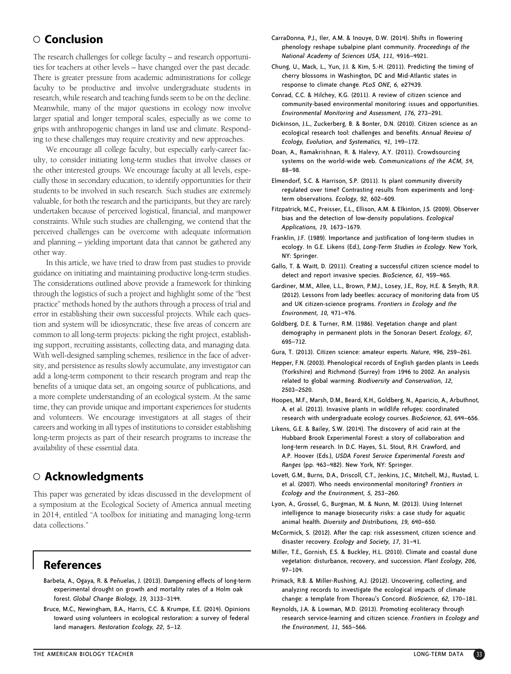# ○ Conclusion

The research challenges for college faculty – and research opportunities for teachers at other levels – have changed over the past decade. There is greater pressure from academic administrations for college faculty to be productive and involve undergraduate students in research, while research and teaching funds seem to be on the decline. Meanwhile, many of the major questions in ecology now involve larger spatial and longer temporal scales, especially as we come to grips with anthropogenic changes in land use and climate. Responding to these challenges may require creativity and new approaches.

We encourage all college faculty, but especially early-career faculty, to consider initiating long-term studies that involve classes or the other interested groups. We encourage faculty at all levels, especially those in secondary education, to identify opportunities for their students to be involved in such research. Such studies are extremely valuable, for both the research and the participants, but they are rarely undertaken because of perceived logistical, financial, and manpower constraints. While such studies are challenging, we contend that the perceived challenges can be overcome with adequate information and planning – yielding important data that cannot be gathered any other way.

In this article, we have tried to draw from past studies to provide guidance on initiating and maintaining productive long-term studies. The considerations outlined above provide a framework for thinking through the logistics of such a project and highlight some of the "best practice" methods honed by the authors through a process of trial and error in establishing their own successful projects. While each question and system will be idiosyncratic, these five areas of concern are common to all long-term projects: picking the right project, establishing support, recruiting assistants, collecting data, and managing data. With well-designed sampling schemes, resilience in the face of adversity, and persistence as results slowly accumulate, any investigator can add a long-term component to their research program and reap the benefits of a unique data set, an ongoing source of publications, and a more complete understanding of an ecological system. At the same time, they can provide unique and important experiences for students and volunteers. We encourage investigators at all stages of their careers and working in all types of institutions to consider establishing long-term projects as part of their research programs to increase the availability of these essential data.

## $\circ$  Acknowledgments

This paper was generated by ideas discussed in the development of a symposium at the Ecological Society of America annual meeting in 2014, entitled "A toolbox for initiating and managing long-term data collections."

# References

- Barbeta, A., Ogaya, R. & Peñuelas, J. (2013). Dampening effects of long-term experimental drought on growth and mortality rates of a Holm oak forest. Global Change Biology, 19, 3133–3144.
- Bruce, M.C., Newingham, B.A., Harris, C.C. & Krumpe, E.E. (2014). Opinions toward using volunteers in ecological restoration: a survey of federal land managers. Restoration Ecology, 22, 5–12.
- CarraDonna, P.J., Iler, A.M. & Inouye, D.W. (2014). Shifts in flowering phenology reshape subalpine plant community. Proceedings of the National Academy of Sciences USA, 111, 4916–4921.
- Chung, U., Mack, L., Yun, J.I. & Kim, S.-H. (2011). Predicting the timing of cherry blossoms in Washington, DC and Mid-Atlantic states in response to climate change. PLoS ONE, 6, e27439.
- Conrad, C.C. & Hilchey, K.G. (2011). A review of citizen science and community-based environmental monitoring: issues and opportunities. Environmental Monitoring and Assessment, 176, 273–291.
- Dickinson, J.L., Zuckerberg, B. & Bonter, D.N. (2010). Citizen science as an ecological research tool: challenges and benefits. Annual Review of Ecology, Evolution, and Systematics, 41, 149–172.
- Doan, A., Ramakrishnan, R. & Halevy, A.Y. (2011). Crowdsourcing systems on the world-wide web. Communications of the ACM, 54, 88–98.
- Elmendorf, S.C. & Harrison, S.P. (2011). Is plant community diversity regulated over time? Contrasting results from experiments and longterm observations. Ecology, 92, 602–609.
- Fitzpatrick, M.C., Preisser, E.L., Ellison, A.M. & Elkinton, J.S. (2009). Observer bias and the detection of low-density populations. Ecological Applications, 19, 1673–1679.
- Franklin, J.F. (1989). Importance and justification of long-term studies in ecology. In G.E. Likens (Ed.), Long-Term Studies in Ecology. New York, NY: Springer.
- Gallo, T. & Waitt, D. (2011). Creating a successful citizen science model to detect and report invasive species. BioScience, 61, 459–465.
- Gardiner, M.M., Allee, L.L., Brown, P.M.J., Losey, J.E., Roy, H.E. & Smyth, R.R. (2012). Lessons from lady beetles: accuracy of monitoring data from US and UK citizen-science programs. Frontiers in Ecology and the Environment, 10, 471–476.
- Goldberg, D.E. & Turner, R.M. (1986). Vegetation change and plant demography in permanent plots in the Sonoran Desert. Ecology, 67, 695–712.
- Gura, T. (2013). Citizen science: amateur experts. Nature, 496, 259–261.
- Hepper, F.N. (2003). Phenological records of English garden plants in Leeds (Yorkshire) and Richmond (Surrey) from 1946 to 2002. An analysis related to global warming. Biodiversity and Conservation, 12, 2503–2520.
- Hoopes, M.F., Marsh, D.M., Beard, K.H., Goldberg, N., Aparicio, A., Arbuthnot, A. et al. (2013). Invasive plants in wildlife refuges: coordinated research with undergraduate ecology courses. BioScience, 63, 644–656.
- Likens, G.E. & Bailey, S.W. (2014). The discovery of acid rain at the Hubbard Brook Experimental Forest: a story of collaboration and long-term research. In D.C. Hayes, S.L. Stout, R.H. Crawford, and A.P. Hoover (Eds.), USDA Forest Service Experimental Forests and Ranges (pp. 463–482). New York, NY: Springer.
- Lovett, G.M., Burns, D.A., Driscoll, C.T., Jenkins, J.C., Mitchell, M.J., Rustad, L. et al. (2007). Who needs environmental monitoring? Frontiers in Ecology and the Environment, 5, 253–260.
- Lyon, A., Grossel, G., Burgman, M. & Nunn, M. (2013). Using Internet intelligence to manage biosecurity risks: a case study for aquatic animal health. Diversity and Distributions, 19, 640–650.
- McCormick, S. (2012). After the cap: risk assessment, citizen science and disaster recovery. Ecology and Society, 17, 31–41.
- Miller, T.E., Gornish, E.S. & Buckley, H.L. (2010). Climate and coastal dune vegetation: disturbance, recovery, and succession. Plant Ecology, 206, 97–104.
- Primack, R.B. & Miller-Rushing, A.J. (2012). Uncovering, collecting, and analyzing records to investigate the ecological impacts of climate change: a template from Thoreau's Concord. BioScience, 62, 170–181.
- Reynolds, J.A. & Lowman, M.D. (2013). Promoting ecoliteracy through research service-learning and citizen science. Frontiers in Ecology and the Environment, 11, 565–566.